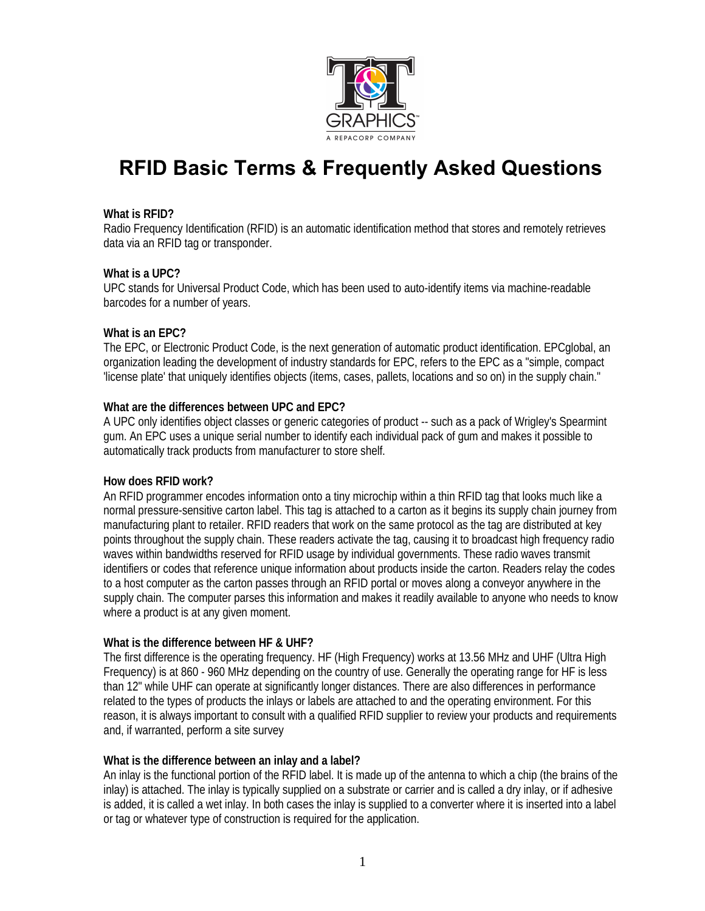

# **RFID Basic Terms & Frequently Asked Questions**

## **What is RFID?**

Radio Frequency Identification (RFID) is an automatic identification method that stores and remotely retrieves data via an RFID tag or transponder.

## **What is a UPC?**

UPC stands for Universal Product Code, which has been used to auto-identify items via machine-readable barcodes for a number of years.

## **What is an EPC?**

The EPC, or Electronic Product Code, is the next generation of automatic product identification. EPCglobal, an organization leading the development of industry standards for EPC, refers to the EPC as a "simple, compact 'license plate' that uniquely identifies objects (items, cases, pallets, locations and so on) in the supply chain."

# **What are the differences between UPC and EPC?**

A UPC only identifies object classes or generic categories of product -- such as a pack of Wrigley's Spearmint gum. An EPC uses a unique serial number to identify each individual pack of gum and makes it possible to automatically track products from manufacturer to store shelf.

#### **How does RFID work?**

An RFID programmer encodes information onto a tiny microchip within a thin RFID tag that looks much like a normal pressure-sensitive carton label. This tag is attached to a carton as it begins its supply chain journey from manufacturing plant to retailer. RFID readers that work on the same protocol as the tag are distributed at key points throughout the supply chain. These readers activate the tag, causing it to broadcast high frequency radio waves within bandwidths reserved for RFID usage by individual governments. These radio waves transmit identifiers or codes that reference unique information about products inside the carton. Readers relay the codes to a host computer as the carton passes through an RFID portal or moves along a conveyor anywhere in the supply chain. The computer parses this information and makes it readily available to anyone who needs to know where a product is at any given moment.

#### **What is the difference between HF & UHF?**

The first difference is the operating frequency. HF (High Frequency) works at 13.56 MHz and UHF (Ultra High Frequency) is at 860 - 960 MHz depending on the country of use. Generally the operating range for HF is less than 12" while UHF can operate at significantly longer distances. There are also differences in performance related to the types of products the inlays or labels are attached to and the operating environment. For this reason, it is always important to consult with a qualified RFID supplier to review your products and requirements and, if warranted, perform a site survey

#### **What is the difference between an inlay and a label?**

An inlay is the functional portion of the RFID label. It is made up of the antenna to which a chip (the brains of the inlay) is attached. The inlay is typically supplied on a substrate or carrier and is called a dry inlay, or if adhesive is added, it is called a wet inlay. In both cases the inlay is supplied to a converter where it is inserted into a label or tag or whatever type of construction is required for the application.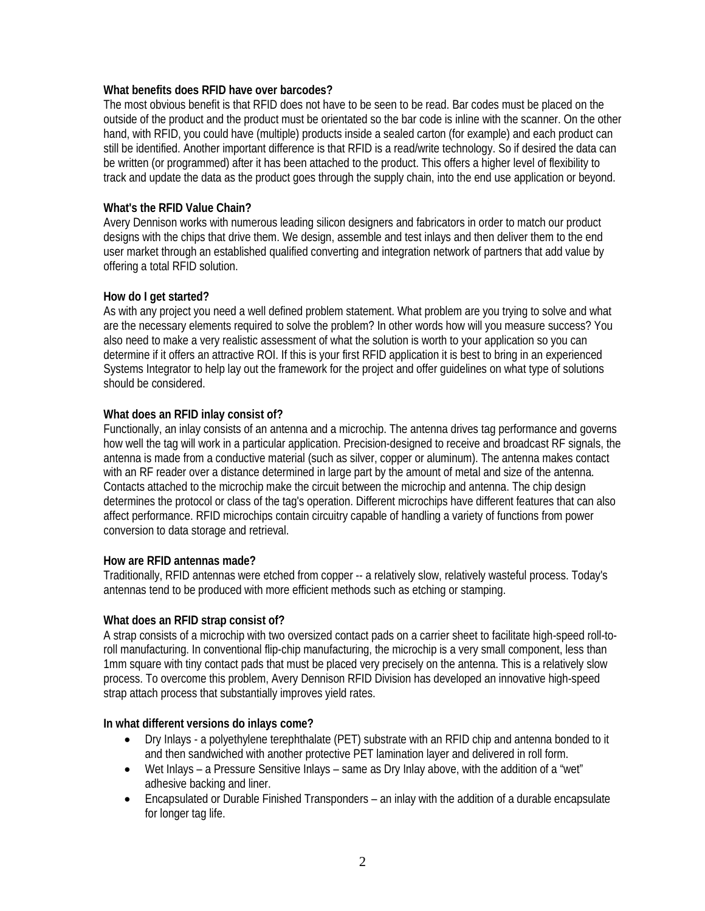#### **What benefits does RFID have over barcodes?**

The most obvious benefit is that RFID does not have to be seen to be read. Bar codes must be placed on the outside of the product and the product must be orientated so the bar code is inline with the scanner. On the other hand, with RFID, you could have (multiple) products inside a sealed carton (for example) and each product can still be identified. Another important difference is that RFID is a read/write technology. So if desired the data can be written (or programmed) after it has been attached to the product. This offers a higher level of flexibility to track and update the data as the product goes through the supply chain, into the end use application or beyond.

# **What's the RFID Value Chain?**

Avery Dennison works with numerous leading silicon designers and fabricators in order to match our product designs with the chips that drive them. We design, assemble and test inlays and then deliver them to the end user market through an established qualified converting and integration network of partners that add value by offering a total RFID solution.

# **How do I get started?**

As with any project you need a well defined problem statement. What problem are you trying to solve and what are the necessary elements required to solve the problem? In other words how will you measure success? You also need to make a very realistic assessment of what the solution is worth to your application so you can determine if it offers an attractive ROI. If this is your first RFID application it is best to bring in an experienced Systems Integrator to help lay out the framework for the project and offer guidelines on what type of solutions should be considered.

# **What does an RFID inlay consist of?**

Functionally, an inlay consists of an antenna and a microchip. The antenna drives tag performance and governs how well the tag will work in a particular application. Precision-designed to receive and broadcast RF signals, the antenna is made from a conductive material (such as silver, copper or aluminum). The antenna makes contact with an RF reader over a distance determined in large part by the amount of metal and size of the antenna. Contacts attached to the microchip make the circuit between the microchip and antenna. The chip design determines the protocol or class of the tag's operation. Different microchips have different features that can also affect performance. RFID microchips contain circuitry capable of handling a variety of functions from power conversion to data storage and retrieval.

# **How are RFID antennas made?**

Traditionally, RFID antennas were etched from copper -- a relatively slow, relatively wasteful process. Today's antennas tend to be produced with more efficient methods such as etching or stamping.

# **What does an RFID strap consist of?**

A strap consists of a microchip with two oversized contact pads on a carrier sheet to facilitate high-speed roll-toroll manufacturing. In conventional flip-chip manufacturing, the microchip is a very small component, less than 1mm square with tiny contact pads that must be placed very precisely on the antenna. This is a relatively slow process. To overcome this problem, Avery Dennison RFID Division has developed an innovative high-speed strap attach process that substantially improves yield rates.

# **In what different versions do inlays come?**

- Dry Inlays a polyethylene terephthalate (PET) substrate with an RFID chip and antenna bonded to it and then sandwiched with another protective PET lamination layer and delivered in roll form.
- Wet Inlays a Pressure Sensitive Inlays same as Dry Inlay above, with the addition of a "wet" adhesive backing and liner.
- Encapsulated or Durable Finished Transponders an inlay with the addition of a durable encapsulate for longer tag life.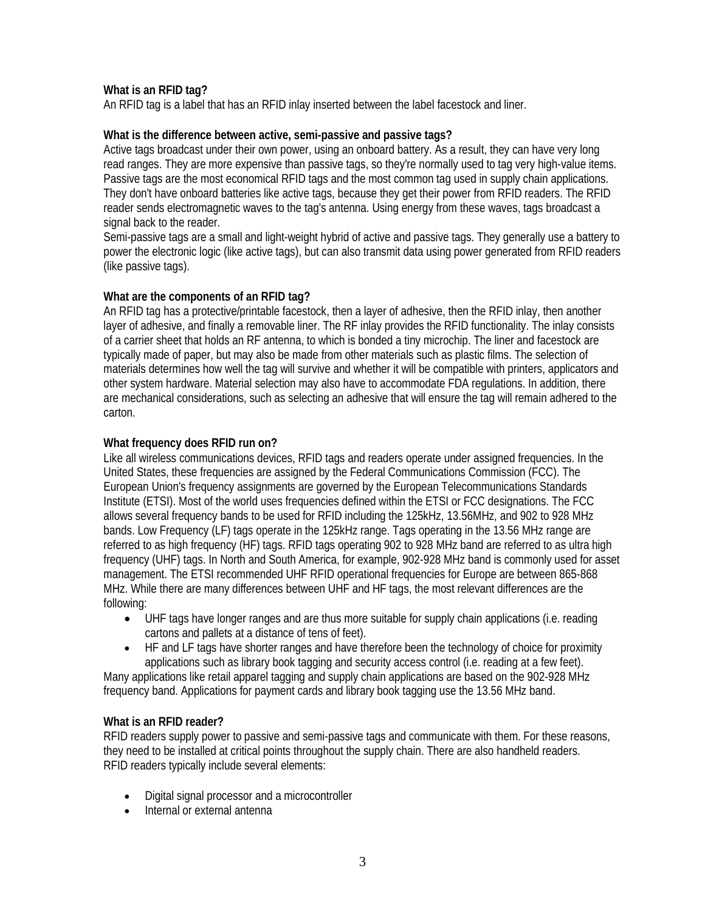# **What is an RFID tag?**

An RFID tag is a label that has an RFID inlay inserted between the label facestock and liner.

## **What is the difference between active, semi-passive and passive tags?**

Active tags broadcast under their own power, using an onboard battery. As a result, they can have very long read ranges. They are more expensive than passive tags, so they're normally used to tag very high-value items. Passive tags are the most economical RFID tags and the most common tag used in supply chain applications. They don't have onboard batteries like active tags, because they get their power from RFID readers. The RFID reader sends electromagnetic waves to the tag's antenna. Using energy from these waves, tags broadcast a signal back to the reader.

Semi-passive tags are a small and light-weight hybrid of active and passive tags. They generally use a battery to power the electronic logic (like active tags), but can also transmit data using power generated from RFID readers (like passive tags).

# **What are the components of an RFID tag?**

An RFID tag has a protective/printable facestock, then a layer of adhesive, then the RFID inlay, then another layer of adhesive, and finally a removable liner. The RF inlay provides the RFID functionality. The inlay consists of a carrier sheet that holds an RF antenna, to which is bonded a tiny microchip. The liner and facestock are typically made of paper, but may also be made from other materials such as plastic films. The selection of materials determines how well the tag will survive and whether it will be compatible with printers, applicators and other system hardware. Material selection may also have to accommodate FDA regulations. In addition, there are mechanical considerations, such as selecting an adhesive that will ensure the tag will remain adhered to the carton.

# **What frequency does RFID run on?**

Like all wireless communications devices, RFID tags and readers operate under assigned frequencies. In the United States, these frequencies are assigned by the Federal Communications Commission (FCC). The European Union's frequency assignments are governed by the European Telecommunications Standards Institute (ETSI). Most of the world uses frequencies defined within the ETSI or FCC designations. The FCC allows several frequency bands to be used for RFID including the 125kHz, 13.56MHz, and 902 to 928 MHz bands. Low Frequency (LF) tags operate in the 125kHz range. Tags operating in the 13.56 MHz range are referred to as high frequency (HF) tags. RFID tags operating 902 to 928 MHz band are referred to as ultra high frequency (UHF) tags. In North and South America, for example, 902-928 MHz band is commonly used for asset management. The ETSI recommended UHF RFID operational frequencies for Europe are between 865-868 MHz. While there are many differences between UHF and HF tags, the most relevant differences are the following:

- UHF tags have longer ranges and are thus more suitable for supply chain applications (i.e. reading cartons and pallets at a distance of tens of feet).
- HF and LF tags have shorter ranges and have therefore been the technology of choice for proximity applications such as library book tagging and security access control (i.e. reading at a few feet).

Many applications like retail apparel tagging and supply chain applications are based on the 902-928 MHz frequency band. Applications for payment cards and library book tagging use the 13.56 MHz band.

# **What is an RFID reader?**

RFID readers supply power to passive and semi-passive tags and communicate with them. For these reasons, they need to be installed at critical points throughout the supply chain. There are also handheld readers. RFID readers typically include several elements:

- Digital signal processor and a microcontroller
- Internal or external antenna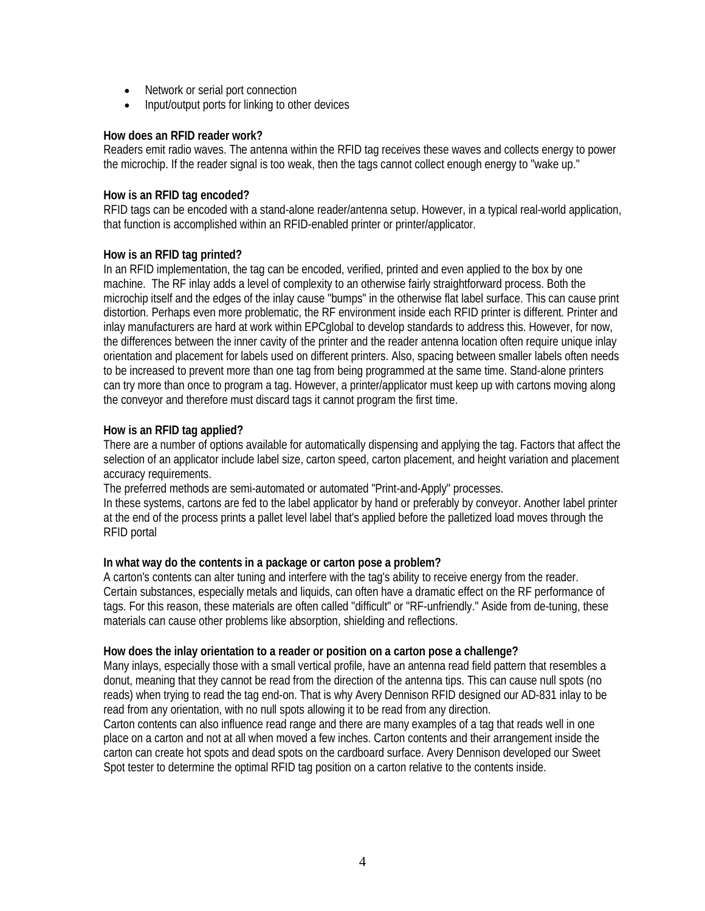- Network or serial port connection
- Input/output ports for linking to other devices

## **How does an RFID reader work?**

Readers emit radio waves. The antenna within the RFID tag receives these waves and collects energy to power the microchip. If the reader signal is too weak, then the tags cannot collect enough energy to "wake up."

#### **How is an RFID tag encoded?**

RFID tags can be encoded with a stand-alone reader/antenna setup. However, in a typical real-world application, that function is accomplished within an RFID-enabled printer or printer/applicator.

## **How is an RFID tag printed?**

In an RFID implementation, the tag can be encoded, verified, printed and even applied to the box by one machine. The RF inlay adds a level of complexity to an otherwise fairly straightforward process. Both the microchip itself and the edges of the inlay cause "bumps" in the otherwise flat label surface. This can cause print distortion. Perhaps even more problematic, the RF environment inside each RFID printer is different. Printer and inlay manufacturers are hard at work within EPCglobal to develop standards to address this. However, for now, the differences between the inner cavity of the printer and the reader antenna location often require unique inlay orientation and placement for labels used on different printers. Also, spacing between smaller labels often needs to be increased to prevent more than one tag from being programmed at the same time. Stand-alone printers can try more than once to program a tag. However, a printer/applicator must keep up with cartons moving along the conveyor and therefore must discard tags it cannot program the first time.

# **How is an RFID tag applied?**

There are a number of options available for automatically dispensing and applying the tag. Factors that affect the selection of an applicator include label size, carton speed, carton placement, and height variation and placement accuracy requirements.

The preferred methods are semi-automated or automated "Print-and-Apply" processes.

In these systems, cartons are fed to the label applicator by hand or preferably by conveyor. Another label printer at the end of the process prints a pallet level label that's applied before the palletized load moves through the RFID portal

#### **In what way do the contents in a package or carton pose a problem?**

A carton's contents can alter tuning and interfere with the tag's ability to receive energy from the reader. Certain substances, especially metals and liquids, can often have a dramatic effect on the RF performance of tags. For this reason, these materials are often called "difficult" or "RF-unfriendly." Aside from de-tuning, these materials can cause other problems like absorption, shielding and reflections.

#### **How does the inlay orientation to a reader or position on a carton pose a challenge?**

Many inlays, especially those with a small vertical profile, have an antenna read field pattern that resembles a donut, meaning that they cannot be read from the direction of the antenna tips. This can cause null spots (no reads) when trying to read the tag end-on. That is why Avery Dennison RFID designed our AD-831 inlay to be read from any orientation, with no null spots allowing it to be read from any direction.

Carton contents can also influence read range and there are many examples of a tag that reads well in one place on a carton and not at all when moved a few inches. Carton contents and their arrangement inside the carton can create hot spots and dead spots on the cardboard surface. Avery Dennison developed our Sweet Spot tester to determine the optimal RFID tag position on a carton relative to the contents inside.